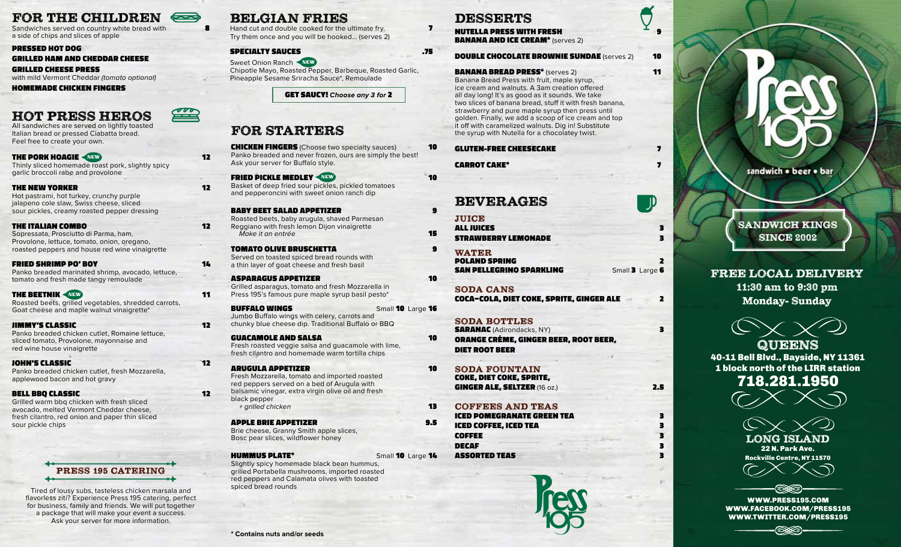# FOR THE CHILDREN  $\Longleftrightarrow$

Sandwiches served on country white bread with **8** a side of chips and slices of apple

#### PRESSED HOT DOG

GRILLED HAM AND CHEDDAR CHEESE

## GRILLED CHEESE PRESS

with mild Vermont Cheddar (tomato optional)

HOMEMADE CHICKEN FINGERS

# HOT PRESS HEROS

All sandwiches are served on lightly toasted Italian bread or pressed Ciabatta bread. Feel free to create your own.

THE PORK HOAGIE **AREWAY** 12 Thinly sliced homemade roast pork, slightly spicy garlic broccoli rabe and provolone

## THE NEW YORKER 12

Hot pastrami, hot turkey, crunchy purple jalapeno cole slaw, Swiss cheese, sliced sour pickles, creamy roasted pepper dressing

## THE ITALIAN COMBO **12**

Sopressata, Prosciutto di Parma, ham, Provolone, lettuce, tomato, onion, oregano, roasted peppers and house red wine vinaigrette

### FRIED SHRIMP PO' BOY **14**

Panko breaded marinated shrimp, avocado, lettuce, tomato and fresh made tangy remoulade

## **THE BEETNIK WEWS 11**

Roasted beets, grilled vegetables, shredded carrots, Goat cheese and maple walnut vinaigrette\*

### **JIMMY'S CLASSIC 12**

Panko breaded chicken cutlet, Romaine lettuce, sliced tomato, Provolone, mayonnaise and red wine house vinaigrette

### **JOHN'S CLASSIC** 12

Panko breaded chicken cutlet, fresh Mozzarella, applewood bacon and hot gravy

## BELL BBO CLASSIC **12**

Grilled warm bbq chicken with fresh sliced avocado, melted Vermont Cheddar cheese, fresh cilantro, red onion and paper thin sliced sour pickle chips



spiced bread rounds Tired of lousy subs, tasteless chicken marsala and flavorless ziti? Experience Press 195 catering, perfect for business, family and friends. We will put together a package that will make your event a success. Ask your server for more information.

## BELGIAN FRIES

Hand cut and double cooked for the ultimate fry.  $\blacksquare$ Try them once and you will be hooked... (serves 2)

## SPECIALTY SAUCES .75

Sweet Onion Ranch Chipotle Mayo, Roasted Pepper, Barbeque, Roasted Garlic, Pineapple Sesame Sriracha Sauce\*, Remoulade

GET SAUCY! **Choose any 3 for** 2

## FOR STARTERS

**CHICKEN FINGERS** (Choose two specialty sauces) **10** Panko breaded and never frozen, ours are simply the best! Ask your server for Buffalo style.

#### **FRIED PICKLE MEDLEY ANSWERP AND THE REWARD OF STATE OF A 40 YO F RIED PICKLE MEDLEY** Basket of deep fried sour pickles, pickled tomatoes and pepperoncini with sweet onion ranch dip

BABY BEET SALAD APPETIZER 9 Roasted beets, baby arugula, shaved Parmesan Reggiano with fresh lemon Dijon vinaigrette Make it an entrée **15** 

## TOMATO OLIVE BRUSCHETTA 9

Served on toasted spiced bread rounds with a thin layer of goat cheese and fresh basil

## ASPARAGUS APPETIZER 10

Grilled asparagus, tomato and fresh Mozzarella in Press 195's famous pure maple syrup basil pesto\*

#### BUFFALO WINGS Small 10 Large 16 Jumbo Buffalo wings with celery, carrots and

chunky blue cheese dip. Traditional Buffalo or BBQ

#### GUACAMOLE AND SALSA 10

Fresh roasted veggie salsa and guacamole with lime, fresh cilantro and homemade warm tortilla chips

### ARUGULA APPETIZER 10

Fresh Mozzarella, tomato and imported roasted red peppers served on a bed of Arugula with balsamic vinegar, extra virgin olive oil and fresh

black pepper + grilled chicken 13

## APPLE BRIE APPETIZER 9.5

Brie cheese, Granny Smith apple slices, Bosc pear slices, wildflower honey

HUMMUS PLATE\* Small 10 Large 14 Slightly spicy homemade black bean hummus, grilled Portabella mushrooms, imported roasted red peppers and Calamata olives with toasted

# **DESSERTS**

**NUTELLA PRESS WITH FRESH** BANANA AND ICE CREAM\* (serves 2)

## **DOUBLE CHOCOLATE BROWNIE SUNDAE** (serves 2) 10

**BANANA BREAD PRESS\*** (serves 2) **11** 

Banana Bread Press with fruit, maple syrup, ice cream and walnuts. A 3am creation offered all day long! It's as good as it sounds. We take two slices of banana bread, stuff it with fresh banana, strawberry and pure maple syrup then press until golden. Finally, we add a scoop of ice cream and top it off with caramelized walnuts. Dig in! Substitute the syrup with Nutella for a chocolatey twist.

## GLUTEN-FREE CHEESECAKE 7

**CARROT CAKE\*** 7

## BEVERAGES

**JUICE** ALL JUICES 3 STRAWBERRY LEMONADE 3

WATER POLAND SPRING 2 **SAN PELLEGRINO SPARKLING** Small 3 Large 6

SODA CANS COCA-COLA, DIET COKE, SPRITE, GINGER ALE 2

<u> JI</u>

## SODA BOTTLES

**SARANAC** (Adirondacks, NY) 3 ORANGE CRÉME, GINGER BEER, ROOT BEER, DIET ROOT BEER

- SODA FOUNTAIN COKE, DIET COKE, SPRITE, GINGER ALE, SELTZER (16 oz.) 2.5
- COFFEES AND TEAS ICED POMEGRANATE GREEN TEA 3 ICED COFFEE, ICED TEA 3 COFFEE 3

DECAF 3 ASSORTED TEAS 3





sandwich . beer . bar

SANDWICH KINGS **SINCE 2002** 

## FREE LOCAL DELIVERY 11:30 am to 9:30 pm Monday- Sunday

**QUEENS** 40-11 Bell Blvd., Bayside, NY 11361 1 block north of the LIRR station 718.281.1950

LONG ISLAND 22 N. Park Ave. Rockville Centre, NY 11570



WWW.PRESS195.COM WWW.FACEBOOK.COM/PRESS195 WWW.TWITTER.COM/PRESS195

ষ্রির্বৃতি